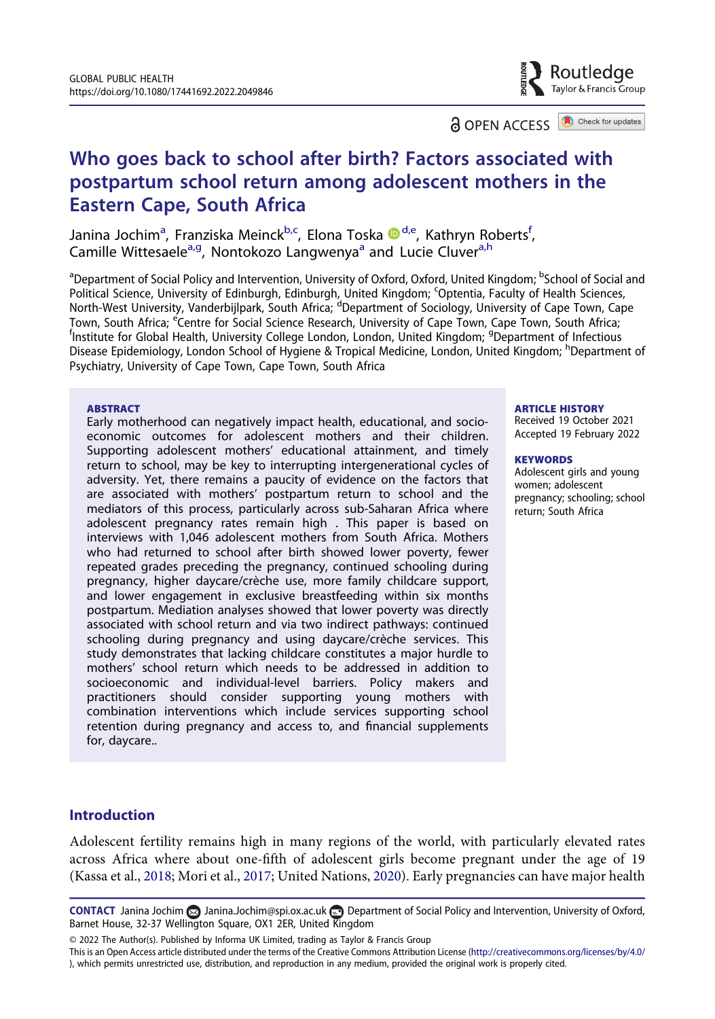Routledae Tavlor & Francis Group

**a** OPEN ACCESS **a** Check for updates

# Who goes back to school after birth? Factors associated with postpartum school return among adolescent mothers in the Eastern Cape, South Africa

Janina Jochim<sup>a</sup>, Franziska Meinck<sup>b,c</sup>, Elona Toska ®<sup>d,e</sup>, Kathryn Roberts<sup>f</sup>, Camille Wittesaele<sup>a,g</sup>, Nontokozo Langwenya<sup>a</sup> and Lucie Cluver<sup>a,h</sup>

<sup>a</sup>Department of Social Policy and Intervention, University of Oxford, Oxford, United Kingdom; <sup>b</sup>School of Social and Political Science, University of Edinburgh, Edinburgh, United Kingdom; <sup>c</sup>Optentia, Faculty of Health Sciences, North-West University, Vanderbijlpark, South Africa; <sup>d</sup>Department of Sociology, University of Cape Town, Cape Town, South Africa; <sup>e'</sup>Centre for Social Science Research, University of Cape Town, Cape Town, South Africa;<br><sup>f</sup>institute for Global Health, University College Landan, Landan, United Kingdom; <sup>9</sup>Department of Infectious Institute for Global Health, University College London, London, United Kingdom; <sup>g</sup>Department of Infectious Disease Epidemiology, London School of Hygiene & Tropical Medicine, London, United Kingdom; <sup>h</sup>Department of Psychiatry, University of Cape Town, Cape Town, South Africa

#### **ABSTRACT**

Early motherhood can negatively impact health, educational, and socioeconomic outcomes for adolescent mothers and their children. Supporting adolescent mothers' educational attainment, and timely return to school, may be key to interrupting intergenerational cycles of adversity. Yet, there remains a paucity of evidence on the factors that are associated with mothers' postpartum return to school and the mediators of this process, particularly across sub-Saharan Africa where adolescent pregnancy rates remain high . This paper is based on interviews with 1,046 adolescent mothers from South Africa. Mothers who had returned to school after birth showed lower poverty, fewer repeated grades preceding the pregnancy, continued schooling during pregnancy, higher daycare/crèche use, more family childcare support, and lower engagement in exclusive breastfeeding within six months postpartum. Mediation analyses showed that lower poverty was directly associated with school return and via two indirect pathways: continued schooling during pregnancy and using daycare/crèche services. This study demonstrates that lacking childcare constitutes a major hurdle to mothers' school return which needs to be addressed in addition to socioeconomic and individual-level barriers. Policy makers and practitioners should consider supporting young mothers with combination interventions which include services supporting school retention during pregnancy and access to, and financial supplements for, daycare..

#### ARTICLE HISTORY

Received 19 October 2021 Accepted 19 February 2022

#### **KEYWORDS**

Adolescent girls and young women; adolescent pregnancy; schooling; school return; South Africa

# Introduction

<span id="page-0-0"></span>Adolescent fertility remains high in many regions of the world, with particularly elevated rates across Africa where about one-fifth of adolescent girls become pregnant under the age of 19 (Kassa et al., [2018](#page-12-0); Mori et al., [2017](#page-13-0); United Nations, [2020\)](#page-14-0). Early pregnancies can have major health

© 2022 The Author(s). Published by Informa UK Limited, trading as Taylor & Francis Group

CONTACT Janina Jochim and Jochim@spi.ox.ac.uk **Department of Social Policy and Intervention**, University of Oxford, Barnet House, 32-37 Wellington Square, OX1 2ER, United Kingdom

This is an Open Access article distributed under the terms of the Creative Commons Attribution License [\(http://creativecommons.org/licenses/by/4.0/](http://creativecommons.org/licenses/by/4.0/) ), which permits unrestricted use, distribution, and reproduction in any medium, provided the original work is properly cited.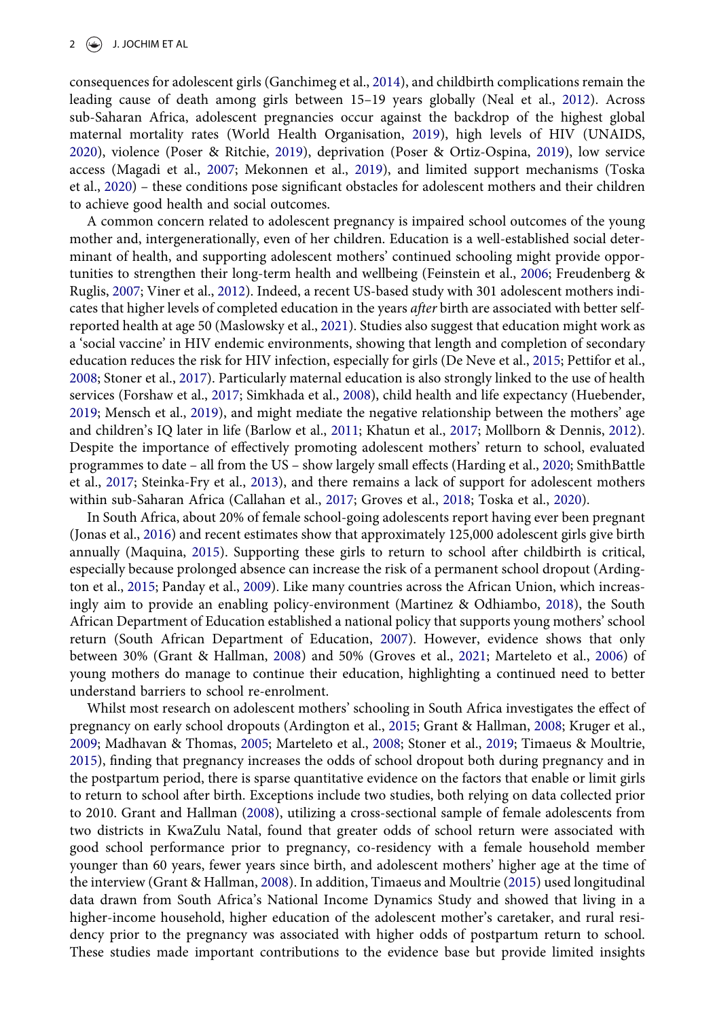<span id="page-1-24"></span><span id="page-1-20"></span><span id="page-1-18"></span><span id="page-1-7"></span>consequences for adolescent girls (Ganchimeg et al., [2014](#page-12-1)), and childbirth complications remain the leading cause of death among girls between 15–19 years globally (Neal et al., [2012](#page-13-1)). Across sub-Saharan Africa, adolescent pregnancies occur against the backdrop of the highest global maternal mortality rates (World Health Organisation, [2019\)](#page-14-1), high levels of HIV (UNAIDS, [2020](#page-14-2)), violence (Poser & Ritchie, [2019](#page-13-2)), deprivation (Poser & Ortiz-Ospina, [2019](#page-13-3)), low service access (Magadi et al., [2007](#page-12-2); Mekonnen et al., [2019](#page-13-4)), and limited support mechanisms (Toska et al., [2020](#page-14-3)) – these conditions pose significant obstacles for adolescent mothers and their children to achieve good health and social outcomes.

<span id="page-1-23"></span><span id="page-1-16"></span><span id="page-1-13"></span><span id="page-1-6"></span><span id="page-1-4"></span><span id="page-1-3"></span>A common concern related to adolescent pregnancy is impaired school outcomes of the young mother and, intergenerationally, even of her children. Education is a well-established social determinant of health, and supporting adolescent mothers' continued schooling might provide opportunities to strengthen their long-term health and wellbeing (Feinstein et al., [2006;](#page-11-0) Freudenberg & Ruglis, [2007;](#page-12-3) Viner et al., [2012](#page-14-4)). Indeed, a recent US-based study with 301 adolescent mothers indicates that higher levels of completed education in the years *after* birth are associated with better selfreported health at age 50 (Maslowsky et al., [2021\)](#page-13-5). Studies also suggest that education might work as a 'social vaccine' in HIV endemic environments, showing that length and completion of secondary education reduces the risk for HIV infection, especially for girls (De Neve et al., [2015;](#page-11-1) Pettifor et al., [2008](#page-13-6); Stoner et al., [2017\)](#page-14-5). Particularly maternal education is also strongly linked to the use of health services (Forshaw et al., [2017](#page-11-2); Simkhada et al., [2008\)](#page-13-7), child health and life expectancy (Huebender, [2019](#page-12-4); Mensch et al., [2019\)](#page-13-8), and might mediate the negative relationship between the mothers' age and children's IQ later in life (Barlow et al., [2011;](#page-11-3) Khatun et al., [2017;](#page-12-5) Mollborn & Dennis, [2012](#page-13-9)). Despite the importance of effectively promoting adolescent mothers' return to school, evaluated programmes to date – all from the US – show largely small effects (Harding et al., [2020;](#page-12-6) SmithBattle et al., [2017](#page-14-6); Steinka-Fry et al., [2013](#page-14-7)), and there remains a lack of support for adolescent mothers within sub-Saharan Africa (Callahan et al., [2017](#page-11-4); Groves et al., [2018;](#page-12-7) Toska et al., [2020](#page-14-3)).

<span id="page-1-21"></span><span id="page-1-19"></span><span id="page-1-17"></span><span id="page-1-15"></span><span id="page-1-14"></span><span id="page-1-11"></span><span id="page-1-10"></span><span id="page-1-5"></span><span id="page-1-2"></span><span id="page-1-1"></span>In South Africa, about 20% of female school-going adolescents report having ever been pregnant (Jonas et al., [2016](#page-12-8)) and recent estimates show that approximately 125,000 adolescent girls give birth annually (Maquina, [2015\)](#page-12-9). Supporting these girls to return to school after childbirth is critical, especially because prolonged absence can increase the risk of a permanent school dropout (Ardington et al., [2015](#page-11-5); Panday et al., [2009](#page-13-10)). Like many countries across the African Union, which increasingly aim to provide an enabling policy-environment (Martinez & Odhiambo, [2018\)](#page-13-11), the South African Department of Education established a national policy that supports young mothers' school return (South African Department of Education, [2007\)](#page-14-8). However, evidence shows that only between 30% (Grant & Hallman, [2008\)](#page-12-10) and 50% (Groves et al., [2021;](#page-12-11) Marteleto et al., [2006](#page-13-12)) of young mothers do manage to continue their education, highlighting a continued need to better understand barriers to school re-enrolment.

<span id="page-1-22"></span><span id="page-1-12"></span><span id="page-1-9"></span><span id="page-1-8"></span><span id="page-1-0"></span>Whilst most research on adolescent mothers' schooling in South Africa investigates the effect of pregnancy on early school dropouts (Ardington et al., [2015](#page-11-5); Grant & Hallman, [2008;](#page-12-10) Kruger et al., [2009](#page-12-12); Madhavan & Thomas, [2005](#page-12-13); Marteleto et al., [2008](#page-13-13); Stoner et al., [2019;](#page-14-9) Timaeus & Moultrie, [2015](#page-14-10)), finding that pregnancy increases the odds of school dropout both during pregnancy and in the postpartum period, there is sparse quantitative evidence on the factors that enable or limit girls to return to school after birth. Exceptions include two studies, both relying on data collected prior to 2010. Grant and Hallman [\(2008\)](#page-12-10), utilizing a cross-sectional sample of female adolescents from two districts in KwaZulu Natal, found that greater odds of school return were associated with good school performance prior to pregnancy, co-residency with a female household member younger than 60 years, fewer years since birth, and adolescent mothers' higher age at the time of the interview (Grant & Hallman, [2008](#page-12-10)). In addition, Timaeus and Moultrie ([2015](#page-14-10)) used longitudinal data drawn from South Africa's National Income Dynamics Study and showed that living in a higher-income household, higher education of the adolescent mother's caretaker, and rural residency prior to the pregnancy was associated with higher odds of postpartum return to school. These studies made important contributions to the evidence base but provide limited insights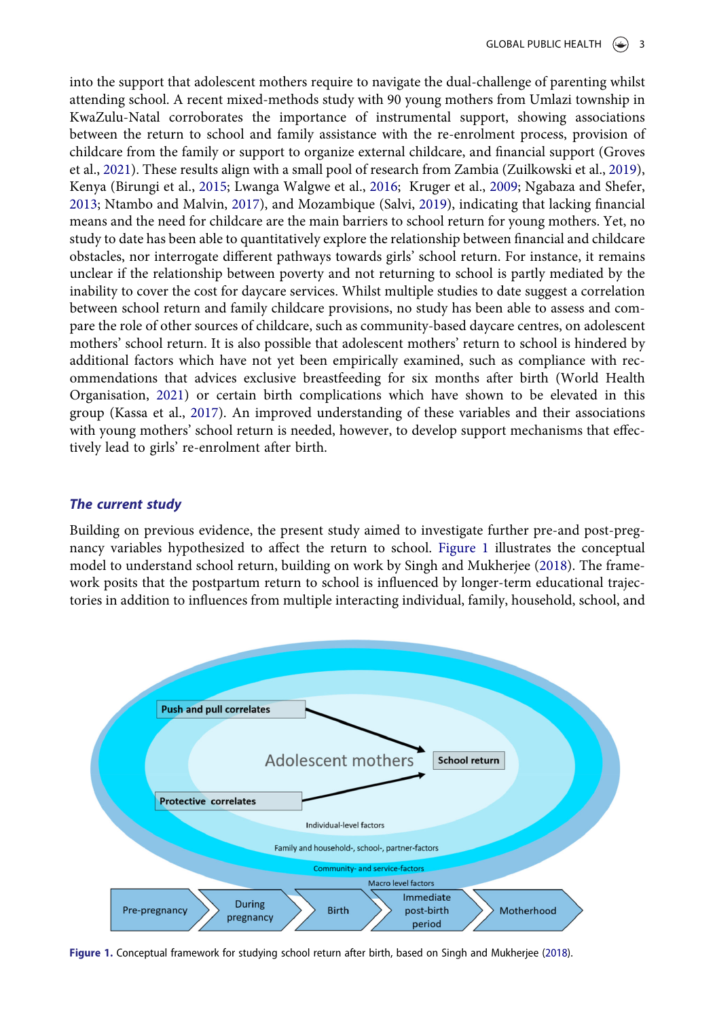<span id="page-2-5"></span><span id="page-2-2"></span><span id="page-2-1"></span>into the support that adolescent mothers require to navigate the dual-challenge of parenting whilst attending school. A recent mixed-methods study with 90 young mothers from Umlazi township in KwaZulu-Natal corroborates the importance of instrumental support, showing associations between the return to school and family assistance with the re-enrolment process, provision of childcare from the family or support to organize external childcare, and financial support (Groves et al., [2021](#page-12-11)). These results align with a small pool of research from Zambia (Zuilkowski et al., [2019](#page-14-11)), Kenya (Birungi et al., [2015;](#page-11-6) Lwanga Walgwe et al., [2016;](#page-12-14) Kruger et al., [2009](#page-12-12); Ngabaza and Shefer, [2013](#page-13-14); Ntambo and Malvin, [2017](#page-13-15)), and Mozambique (Salvi, [2019](#page-13-16)), indicating that lacking financial means and the need for childcare are the main barriers to school return for young mothers. Yet, no study to date has been able to quantitatively explore the relationship between financial and childcare obstacles, nor interrogate different pathways towards girls' school return. For instance, it remains unclear if the relationship between poverty and not returning to school is partly mediated by the inability to cover the cost for daycare services. Whilst multiple studies to date suggest a correlation between school return and family childcare provisions, no study has been able to assess and compare the role of other sources of childcare, such as community-based daycare centres, on adolescent mothers' school return. It is also possible that adolescent mothers' return to school is hindered by additional factors which have not yet been empirically examined, such as compliance with recommendations that advices exclusive breastfeeding for six months after birth (World Health Organisation, [2021](#page-14-12)) or certain birth complications which have shown to be elevated in this group (Kassa et al., [2017\)](#page-12-0). An improved understanding of these variables and their associations with young mothers' school return is needed, however, to develop support mechanisms that effectively lead to girls' re-enrolment after birth.

#### <span id="page-2-4"></span>The current study

Building on previous evidence, the present study aimed to investigate further pre-and post-pregnancy variables hypothesized to affect the return to school. [Figure 1](#page-2-0) illustrates the conceptual model to understand school return, building on work by Singh and Mukherjee [\(2018](#page-13-17)). The framework posits that the postpartum return to school is influenced by longer-term educational trajectories in addition to influences from multiple interacting individual, family, household, school, and

<span id="page-2-0"></span>

<span id="page-2-3"></span>Figure 1. Conceptual framework for studying school return after birth, based on Singh and Mukherjee [\(2018\)](#page-13-17).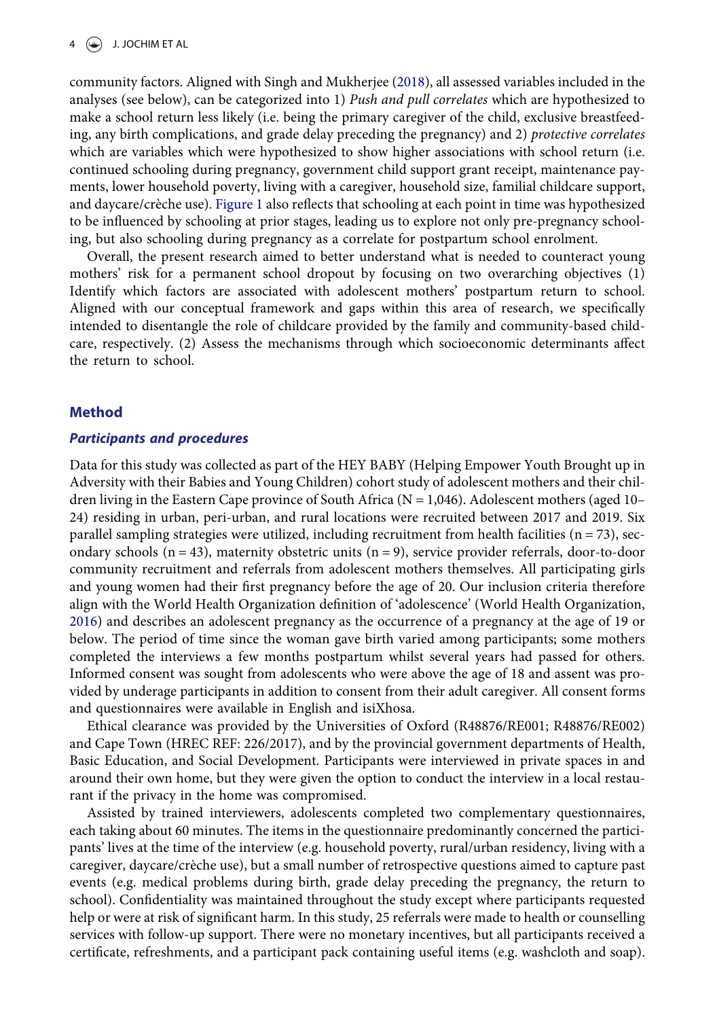community factors. Aligned with Singh and Mukherjee [\(2018](#page-13-17)), all assessed variables included in the analyses (see below), can be categorized into 1) Push and pull correlates which are hypothesized to make a school return less likely (i.e. being the primary caregiver of the child, exclusive breastfeeding, any birth complications, and grade delay preceding the pregnancy) and 2) protective correlates which are variables which were hypothesized to show higher associations with school return (i.e. continued schooling during pregnancy, government child support grant receipt, maintenance payments, lower household poverty, living with a caregiver, household size, familial childcare support, and daycare/crèche use). [Figure 1](#page-2-0) also reflects that schooling at each point in time was hypothesized to be influenced by schooling at prior stages, leading us to explore not only pre-pregnancy schooling, but also schooling during pregnancy as a correlate for postpartum school enrolment.

Overall, the present research aimed to better understand what is needed to counteract young mothers' risk for a permanent school dropout by focusing on two overarching objectives (1) Identify which factors are associated with adolescent mothers' postpartum return to school. Aligned with our conceptual framework and gaps within this area of research, we specifically intended to disentangle the role of childcare provided by the family and community-based childcare, respectively. (2) Assess the mechanisms through which socioeconomic determinants affect the return to school.

#### Method

#### Participants and procedures

<span id="page-3-0"></span>Data for this study was collected as part of the HEY BABY (Helping Empower Youth Brought up in Adversity with their Babies and Young Children) cohort study of adolescent mothers and their children living in the Eastern Cape province of South Africa ( $N = 1,046$ ). Adolescent mothers (aged 10– 24) residing in urban, peri-urban, and rural locations were recruited between 2017 and 2019. Six parallel sampling strategies were utilized, including recruitment from health facilities ( $n = 73$ ), secondary schools  $(n = 43)$ , maternity obstetric units  $(n = 9)$ , service provider referrals, door-to-door community recruitment and referrals from adolescent mothers themselves. All participating girls and young women had their first pregnancy before the age of 20. Our inclusion criteria therefore align with the World Health Organization definition of 'adolescence' (World Health Organization, [2016](#page-14-13)) and describes an adolescent pregnancy as the occurrence of a pregnancy at the age of 19 or below. The period of time since the woman gave birth varied among participants; some mothers completed the interviews a few months postpartum whilst several years had passed for others. Informed consent was sought from adolescents who were above the age of 18 and assent was provided by underage participants in addition to consent from their adult caregiver. All consent forms and questionnaires were available in English and isiXhosa.

Ethical clearance was provided by the Universities of Oxford (R48876/RE001; R48876/RE002) and Cape Town (HREC REF: 226/2017), and by the provincial government departments of Health, Basic Education, and Social Development. Participants were interviewed in private spaces in and around their own home, but they were given the option to conduct the interview in a local restaurant if the privacy in the home was compromised.

Assisted by trained interviewers, adolescents completed two complementary questionnaires, each taking about 60 minutes. The items in the questionnaire predominantly concerned the participants' lives at the time of the interview (e.g. household poverty, rural/urban residency, living with a caregiver, daycare/crèche use), but a small number of retrospective questions aimed to capture past events (e.g. medical problems during birth, grade delay preceding the pregnancy, the return to school). Confidentiality was maintained throughout the study except where participants requested help or were at risk of significant harm. In this study, 25 referrals were made to health or counselling services with follow-up support. There were no monetary incentives, but all participants received a certificate, refreshments, and a participant pack containing useful items (e.g. washcloth and soap).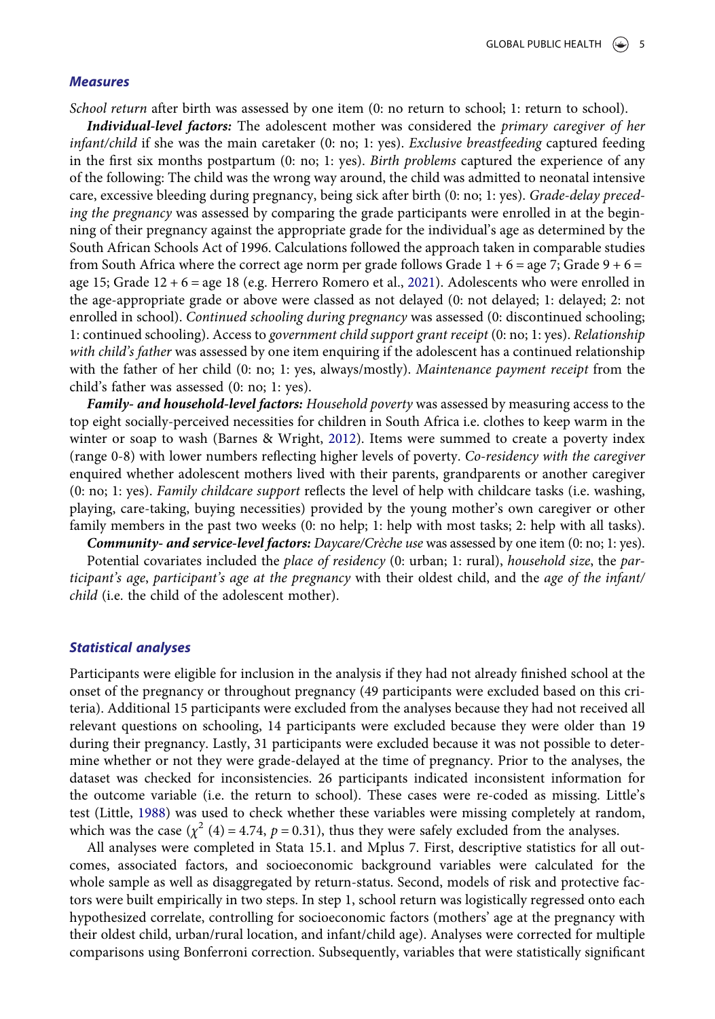#### **Measures**

School return after birth was assessed by one item (0: no return to school; 1: return to school).

Individual-level factors: The adolescent mother was considered the primary caregiver of her  $infant/child$  if she was the main caretaker (0: no; 1: yes). *Exclusive breastfeeding* captured feeding in the first six months postpartum  $(0; no; 1; yes)$ . Birth problems captured the experience of any of the following: The child was the wrong way around, the child was admitted to neonatal intensive care, excessive bleeding during pregnancy, being sick after birth (0: no; 1: yes). Grade-delay preceding the pregnancy was assessed by comparing the grade participants were enrolled in at the beginning of their pregnancy against the appropriate grade for the individual's age as determined by the South African Schools Act of 1996. Calculations followed the approach taken in comparable studies from South Africa where the correct age norm per grade follows Grade  $1 + 6 =$  age 7; Grade  $9 + 6 =$ age 15; Grade 12 + 6 = age 18 (e.g. Herrero Romero et al., [2021\)](#page-12-15). Adolescents who were enrolled in the age-appropriate grade or above were classed as not delayed (0: not delayed; 1: delayed; 2: not enrolled in school). Continued schooling during pregnancy was assessed (0: discontinued schooling; 1: continued schooling). Access to government child support grant receipt (0: no; 1: yes). Relationship with child's father was assessed by one item enquiring if the adolescent has a continued relationship with the father of her child (0: no; 1: yes, always/mostly). Maintenance payment receipt from the child's father was assessed (0: no; 1: yes).

<span id="page-4-1"></span><span id="page-4-0"></span>Family- and household-level factors: Household poverty was assessed by measuring access to the top eight socially-perceived necessities for children in South Africa i.e. clothes to keep warm in the winter or soap to wash (Barnes & Wright, [2012\)](#page-11-7). Items were summed to create a poverty index (range 0-8) with lower numbers reflecting higher levels of poverty. Co-residency with the caregiver enquired whether adolescent mothers lived with their parents, grandparents or another caregiver (0: no; 1: yes). Family childcare support reflects the level of help with childcare tasks (i.e. washing, playing, care-taking, buying necessities) provided by the young mother's own caregiver or other family members in the past two weeks (0: no help; 1: help with most tasks; 2: help with all tasks).

Community- and service-level factors: Daycare/Crèche use was assessed by one item (0: no; 1: yes).

Potential covariates included the place of residency (0: urban; 1: rural), household size, the participant's age, participant's age at the pregnancy with their oldest child, and the age of the infant/ child (i.e. the child of the adolescent mother).

### Statistical analyses

Participants were eligible for inclusion in the analysis if they had not already finished school at the onset of the pregnancy or throughout pregnancy (49 participants were excluded based on this criteria). Additional 15 participants were excluded from the analyses because they had not received all relevant questions on schooling, 14 participants were excluded because they were older than 19 during their pregnancy. Lastly, 31 participants were excluded because it was not possible to determine whether or not they were grade-delayed at the time of pregnancy. Prior to the analyses, the dataset was checked for inconsistencies. 26 participants indicated inconsistent information for the outcome variable (i.e. the return to school). These cases were re-coded as missing. Little's test (Little, [1988](#page-12-16)) was used to check whether these variables were missing completely at random, which was the case  $(\chi^2 (4) = 4.74, p = 0.31)$ , thus they were safely excluded from the analyses.

<span id="page-4-2"></span>All analyses were completed in Stata 15.1. and Mplus 7. First, descriptive statistics for all outcomes, associated factors, and socioeconomic background variables were calculated for the whole sample as well as disaggregated by return-status. Second, models of risk and protective factors were built empirically in two steps. In step 1, school return was logistically regressed onto each hypothesized correlate, controlling for socioeconomic factors (mothers' age at the pregnancy with their oldest child, urban/rural location, and infant/child age). Analyses were corrected for multiple comparisons using Bonferroni correction. Subsequently, variables that were statistically significant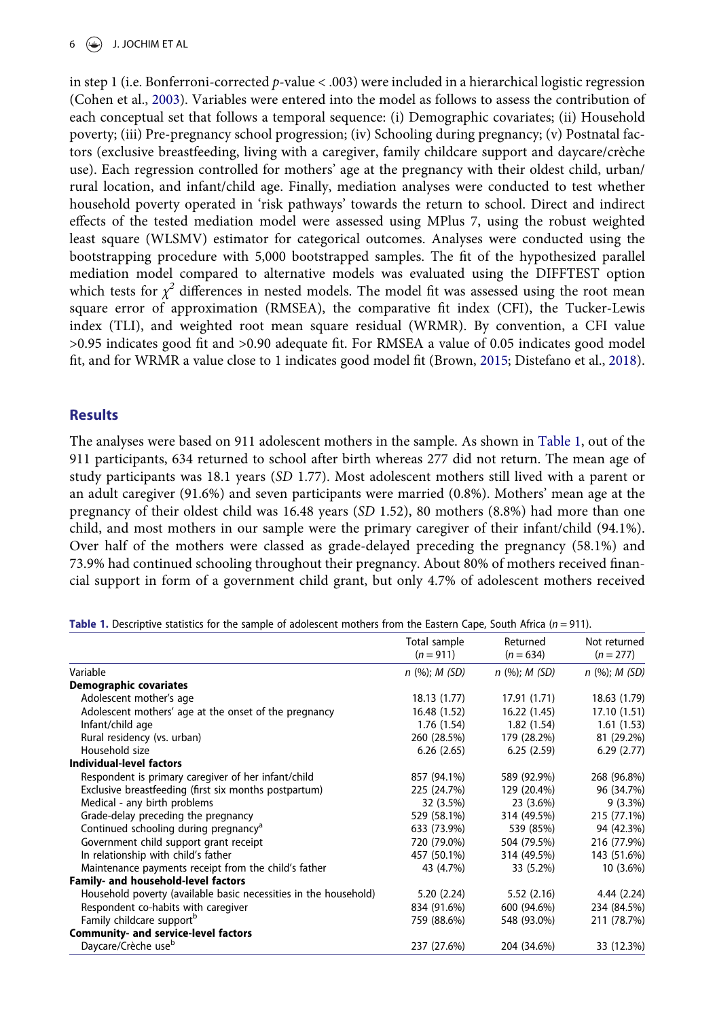<span id="page-5-2"></span>in step 1 (i.e. Bonferroni-corrected p-value < .003) were included in a hierarchical logistic regression (Cohen et al., [2003](#page-11-8)). Variables were entered into the model as follows to assess the contribution of each conceptual set that follows a temporal sequence: (i) Demographic covariates; (ii) Household poverty; (iii) Pre-pregnancy school progression; (iv) Schooling during pregnancy; (v) Postnatal factors (exclusive breastfeeding, living with a caregiver, family childcare support and daycare/crèche use). Each regression controlled for mothers' age at the pregnancy with their oldest child, urban/ rural location, and infant/child age. Finally, mediation analyses were conducted to test whether household poverty operated in 'risk pathways' towards the return to school. Direct and indirect effects of the tested mediation model were assessed using MPlus 7, using the robust weighted least square (WLSMV) estimator for categorical outcomes. Analyses were conducted using the bootstrapping procedure with 5,000 bootstrapped samples. The fit of the hypothesized parallel mediation model compared to alternative models was evaluated using the DIFFTEST option which tests for  $\chi^2$  differences in nested models. The model fit was assessed using the root mean square error of approximation (RMSEA), the comparative fit index (CFI), the Tucker-Lewis index (TLI), and weighted root mean square residual (WRMR). By convention, a CFI value >0.95 indicates good fit and >0.90 adequate fit. For RMSEA a value of 0.05 indicates good model fit, and for WRMR a value close to 1 indicates good model fit (Brown, [2015;](#page-11-9) Distefano et al., [2018](#page-11-10)).

# <span id="page-5-1"></span>**Results**

The analyses were based on 911 adolescent mothers in the sample. As shown in [Table 1](#page-5-0), out of the 911 participants, 634 returned to school after birth whereas 277 did not return. The mean age of study participants was 18.1 years (SD 1.77). Most adolescent mothers still lived with a parent or an adult caregiver (91.6%) and seven participants were married (0.8%). Mothers' mean age at the pregnancy of their oldest child was 16.48 years (SD 1.52), 80 mothers (8.8%) had more than one child, and most mothers in our sample were the primary caregiver of their infant/child (94.1%). Over half of the mothers were classed as grade-delayed preceding the pregnancy (58.1%) and 73.9% had continued schooling throughout their pregnancy. About 80% of mothers received financial support in form of a government child grant, but only 4.7% of adolescent mothers received

<span id="page-5-0"></span>

| <b>Table 1.</b> Descriptive statistics for the sample of adolescent mothers from the Eastern Cape, South Africa ( $n = 911$ ). |  |  |  |
|--------------------------------------------------------------------------------------------------------------------------------|--|--|--|
|                                                                                                                                |  |  |  |

|                                                                  | Total sample<br>$(n = 911)$ | Returned<br>$(n = 634)$ | Not returned<br>$(n = 277)$ |
|------------------------------------------------------------------|-----------------------------|-------------------------|-----------------------------|
| Variable                                                         | $n$ (%); $M$ (SD)           | $n$ (%); $M$ (SD)       | $n$ (%); M (SD)             |
| <b>Demographic covariates</b>                                    |                             |                         |                             |
| Adolescent mother's age                                          | 18.13 (1.77)                | 17.91 (1.71)            | 18.63 (1.79)                |
| Adolescent mothers' age at the onset of the pregnancy            | 16.48 (1.52)                | 16.22 (1.45)            | 17.10 (1.51)                |
| Infant/child age                                                 | 1.76(1.54)                  | 1.82(1.54)              | 1.61(1.53)                  |
| Rural residency (vs. urban)                                      | 260 (28.5%)                 | 179 (28.2%)             | 81 (29.2%)                  |
| Household size                                                   | 6.26(2.65)                  | 6.25(2.59)              | 6.29(2.77)                  |
| Individual-level factors                                         |                             |                         |                             |
| Respondent is primary caregiver of her infant/child              | 857 (94.1%)                 | 589 (92.9%)             | 268 (96.8%)                 |
| Exclusive breastfeeding (first six months postpartum)            | 225 (24.7%)                 | 129 (20.4%)             | 96 (34.7%)                  |
| Medical - any birth problems                                     | 32 (3.5%)                   | 23 (3.6%)               | $9(3.3\%)$                  |
| Grade-delay preceding the pregnancy                              | 529 (58.1%)                 | 314 (49.5%)             | 215 (77.1%)                 |
| Continued schooling during pregnancy <sup>a</sup>                | 633 (73.9%)                 | 539 (85%)               | 94 (42.3%)                  |
| Government child support grant receipt                           | 720 (79.0%)                 | 504 (79.5%)             | 216 (77.9%)                 |
| In relationship with child's father                              | 457 (50.1%)                 | 314 (49.5%)             | 143 (51.6%)                 |
| Maintenance payments receipt from the child's father             | 43 (4.7%)                   | 33 (5.2%)               | 10 (3.6%)                   |
| Family- and household-level factors                              |                             |                         |                             |
| Household poverty (available basic necessities in the household) | 5.20(2.24)                  | 5.52(2.16)              | 4.44 (2.24)                 |
| Respondent co-habits with caregiver                              | 834 (91.6%)                 | 600 (94.6%)             | 234 (84.5%)                 |
| Family childcare support <sup>b</sup>                            | 759 (88.6%)                 | 548 (93.0%)             | 211 (78.7%)                 |
| Community- and service-level factors                             |                             |                         |                             |
| Daycare/Crèche use <sup>b</sup>                                  | 237 (27.6%)                 | 204 (34.6%)             | 33 (12.3%)                  |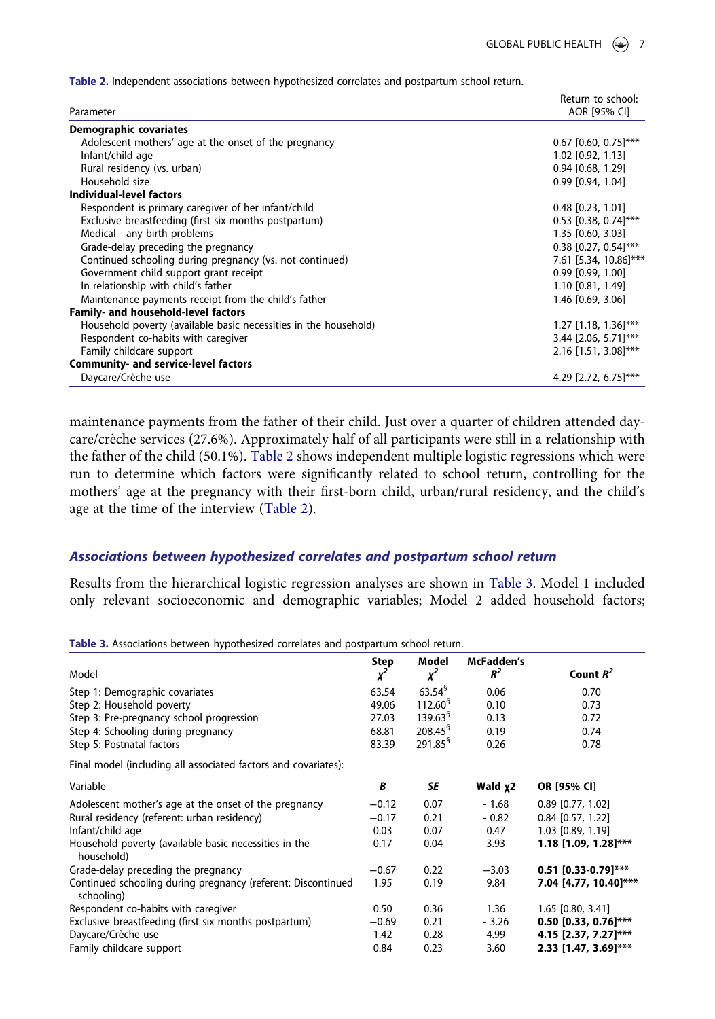|                                                                  | Return to school:      |
|------------------------------------------------------------------|------------------------|
| Parameter                                                        | AOR [95% CI]           |
| <b>Demographic covariates</b>                                    |                        |
| Adolescent mothers' age at the onset of the pregnancy            | $0.67$ [0.60, 0.75]*** |
| Infant/child age                                                 | $1.02$ [0.92, 1.13]    |
| Rural residency (vs. urban)                                      | $0.94$ [0.68, 1.29]    |
| Household size                                                   | 0.99 [0.94, 1.04]      |
| Individual-level factors                                         |                        |
| Respondent is primary caregiver of her infant/child              | $0.48$ [0.23, 1.01]    |
| Exclusive breastfeeding (first six months postpartum)            | $0.53$ [0.38, 0.74]*** |
| Medical - any birth problems                                     | 1.35 [0.60, 3.03]      |
| Grade-delay preceding the pregnancy                              | $0.38$ [0.27, 0.54]*** |
| Continued schooling during pregnancy (vs. not continued)         | 7.61 [5.34, 10.86]***  |
| Government child support grant receipt                           | 0.99 [0.99, 1.00]      |
| In relationship with child's father                              | 1.10 [0.81, 1.49]      |
| Maintenance payments receipt from the child's father             | 1.46 [0.69, 3.06]      |
| Family- and household-level factors                              |                        |
| Household poverty (available basic necessities in the household) | $1.27$ [1.18, 1.36]*** |
| Respondent co-habits with caregiver                              | 3.44 [2.06, 5.71]***   |
| Family childcare support                                         | $2.16$ [1.51, 3.08]*** |
| <b>Community- and service-level factors</b>                      |                        |
| Daycare/Crèche use                                               | 4.29 [2.72, 6.75]***   |

<span id="page-6-0"></span>Table 2. Independent associations between hypothesized correlates and postpartum school return.

maintenance payments from the father of their child. Just over a quarter of children attended daycare/crèche services (27.6%). Approximately half of all participants were still in a relationship with the father of the child (50.1%). [Table 2](#page-6-0) shows independent multiple logistic regressions which were run to determine which factors were significantly related to school return, controlling for the mothers' age at the pregnancy with their first-born child, urban/rural residency, and the child's age at the time of the interview [\(Table 2\)](#page-6-0).

# Associations between hypothesized correlates and postpartum school return

Results from the hierarchical logistic regression analyses are shown in [Table 3.](#page-6-1) Model 1 included only relevant socioeconomic and demographic variables; Model 2 added household factors;

<span id="page-6-1"></span>Table 3. Associations between hypothesized correlates and postpartum school return.

|                                                                            | Step    | Model               | McFadden's          |                        |  |  |
|----------------------------------------------------------------------------|---------|---------------------|---------------------|------------------------|--|--|
| Model                                                                      |         |                     | $R^2$               | Count $R^2$            |  |  |
| Step 1: Demographic covariates                                             | 63.54   | 63.54 <sup>6</sup>  | 0.06                | 0.70                   |  |  |
| Step 2: Household poverty                                                  | 49.06   | $112.60^{\circ}$    | 0.10                | 0.73                   |  |  |
| Step 3: Pre-pregnancy school progression                                   | 27.03   | 139.63 <sup>§</sup> | 0.13                | 0.72                   |  |  |
| Step 4: Schooling during pregnancy                                         | 68.81   | 208.45 <sup>9</sup> | 0.19                | 0.74                   |  |  |
| Step 5: Postnatal factors                                                  | 83.39   | $291.85^9$          | 0.26                | 0.78                   |  |  |
| Final model (including all associated factors and covariates):             |         |                     |                     |                        |  |  |
| Variable                                                                   | В       | SE                  | Wald x <sub>2</sub> | OR [95% CI]            |  |  |
| Adolescent mother's age at the onset of the pregnancy                      | $-0.12$ | 0.07                | $-1.68$             | $0.89$ [0.77, 1.02]    |  |  |
| Rural residency (referent: urban residency)                                | $-0.17$ | 0.21                | $-0.82$             | $0.84$ [0.57, 1.22]    |  |  |
| Infant/child age                                                           | 0.03    | 0.07                | 0.47                | 1.03 [0.89, 1.19]      |  |  |
| Household poverty (available basic necessities in the<br>household)        | 0.17    | 0.04                | 3.93                | $1.18$ [1.09, 1.28]*** |  |  |
| Grade-delay preceding the pregnancy                                        | $-0.67$ | 0.22                | $-3.03$             | $0.51$ [0.33-0.79]***  |  |  |
| Continued schooling during pregnancy (referent: Discontinued<br>schooling) | 1.95    | 0.19                | 9.84                | 7.04 [4.77, 10.40]***  |  |  |
| Respondent co-habits with caregiver                                        | 0.50    | 0.36                | 1.36                | $1.65$ [0.80, 3.41]    |  |  |
| Exclusive breastfeeding (first six months postpartum)                      | $-0.69$ | 0.21                | $-3.26$             | $0.50$ [0.33, 0.76]*** |  |  |
| Daycare/Crèche use                                                         | 1.42    | 0.28                | 4.99                | 4.15 [2.37, 7.27]***   |  |  |
| Family childcare support                                                   | 0.84    | 0.23                | 3.60                | 2.33 [1.47, 3.69]***   |  |  |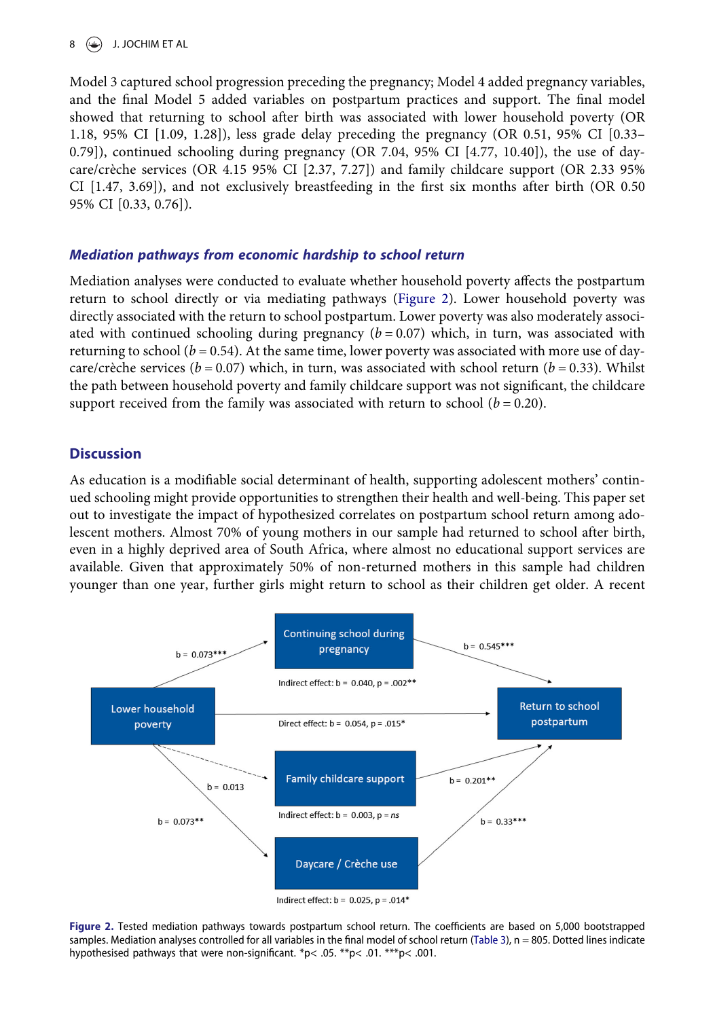# $8 \quad \circledcirc$  J. JOCHIM ET AL

Model 3 captured school progression preceding the pregnancy; Model 4 added pregnancy variables, and the final Model 5 added variables on postpartum practices and support. The final model showed that returning to school after birth was associated with lower household poverty (OR 1.18, 95% CI [1.09, 1.28]), less grade delay preceding the pregnancy (OR 0.51, 95% CI [0.33– 0.79]), continued schooling during pregnancy (OR 7.04, 95% CI  $[4.77, 10.40]$ ), the use of daycare/crèche services (OR 4.15 95% CI [2.37, 7.27]) and family childcare support (OR 2.33 95% CI [1.47, 3.69]), and not exclusively breastfeeding in the first six months after birth (OR 0.50 95% CI [0.33, 0.76]).

# Mediation pathways from economic hardship to school return

Mediation analyses were conducted to evaluate whether household poverty affects the postpartum return to school directly or via mediating pathways ([Figure 2\)](#page-7-0). Lower household poverty was directly associated with the return to school postpartum. Lower poverty was also moderately associated with continued schooling during pregnancy  $(b = 0.07)$  which, in turn, was associated with returning to school ( $b = 0.54$ ). At the same time, lower poverty was associated with more use of daycare/crèche services ( $b = 0.07$ ) which, in turn, was associated with school return ( $b = 0.33$ ). Whilst the path between household poverty and family childcare support was not significant, the childcare support received from the family was associated with return to school ( $b = 0.20$ ).

# **Discussion**

As education is a modifiable social determinant of health, supporting adolescent mothers' continued schooling might provide opportunities to strengthen their health and well-being. This paper set out to investigate the impact of hypothesized correlates on postpartum school return among adolescent mothers. Almost 70% of young mothers in our sample had returned to school after birth, even in a highly deprived area of South Africa, where almost no educational support services are available. Given that approximately 50% of non-returned mothers in this sample had children younger than one year, further girls might return to school as their children get older. A recent

<span id="page-7-0"></span>

Indirect effect:  $b = 0.025$ ,  $p = .014*$ 

Figure 2. Tested mediation pathways towards postpartum school return. The coefficients are based on 5,000 bootstrapped samples. Mediation analyses controlled for all variables in the final model of school return ([Table 3](#page-6-1)), n = 805. Dotted lines indicate hypothesised pathways that were non-significant. \*p< .05. \*\*p< .01. \*\*\*p< .001.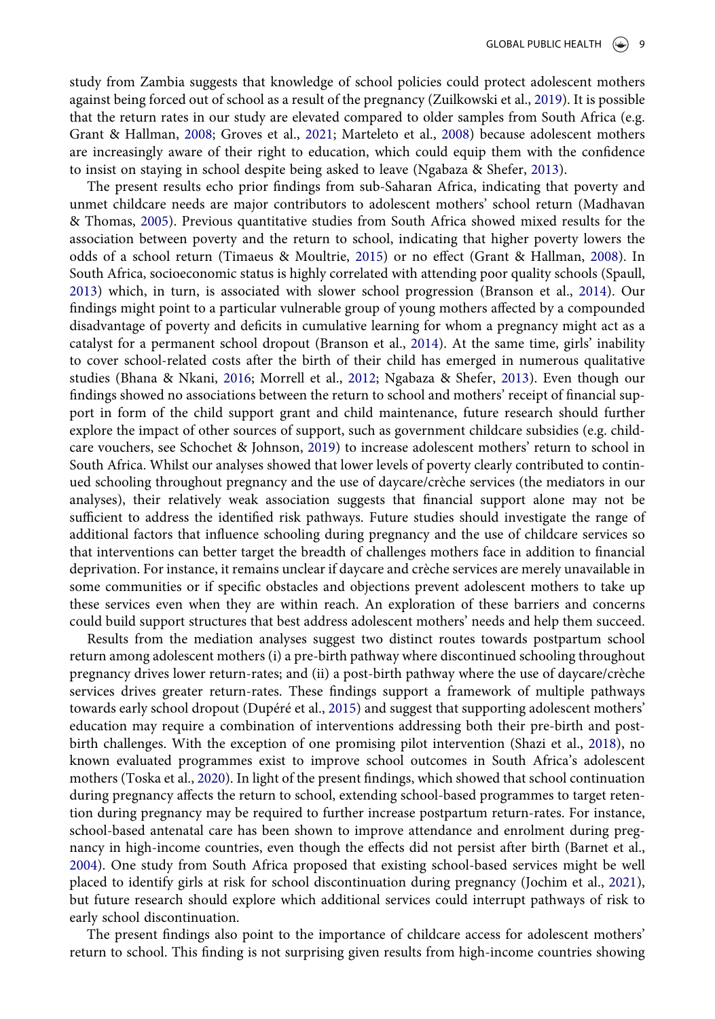study from Zambia suggests that knowledge of school policies could protect adolescent mothers against being forced out of school as a result of the pregnancy (Zuilkowski et al., [2019\)](#page-14-11). It is possible that the return rates in our study are elevated compared to older samples from South Africa (e.g. Grant & Hallman, [2008](#page-12-10); Groves et al., [2021;](#page-12-11) Marteleto et al., [2008](#page-13-13)) because adolescent mothers are increasingly aware of their right to education, which could equip them with the confidence to insist on staying in school despite being asked to leave (Ngabaza & Shefer, [2013\)](#page-13-14).

<span id="page-8-7"></span><span id="page-8-2"></span><span id="page-8-1"></span>The present results echo prior findings from sub-Saharan Africa, indicating that poverty and unmet childcare needs are major contributors to adolescent mothers' school return (Madhavan & Thomas, [2005](#page-12-13)). Previous quantitative studies from South Africa showed mixed results for the association between poverty and the return to school, indicating that higher poverty lowers the odds of a school return (Timaeus & Moultrie, [2015](#page-14-10)) or no effect (Grant & Hallman, [2008\)](#page-12-10). In South Africa, socioeconomic status is highly correlated with attending poor quality schools (Spaull, [2013](#page-14-14)) which, in turn, is associated with slower school progression (Branson et al., [2014\)](#page-11-11). Our findings might point to a particular vulnerable group of young mothers affected by a compounded disadvantage of poverty and deficits in cumulative learning for whom a pregnancy might act as a catalyst for a permanent school dropout (Branson et al., [2014\)](#page-11-11). At the same time, girls' inability to cover school-related costs after the birth of their child has emerged in numerous qualitative studies (Bhana & Nkani, [2016](#page-11-12); Morrell et al., [2012](#page-13-18); Ngabaza & Shefer, [2013](#page-13-14)). Even though our findings showed no associations between the return to school and mothers' receipt of financial support in form of the child support grant and child maintenance, future research should further explore the impact of other sources of support, such as government childcare subsidies (e.g. childcare vouchers, see Schochet & Johnson, [2019\)](#page-13-19) to increase adolescent mothers' return to school in South Africa. Whilst our analyses showed that lower levels of poverty clearly contributed to continued schooling throughout pregnancy and the use of daycare/crèche services (the mediators in our analyses), their relatively weak association suggests that financial support alone may not be sufficient to address the identified risk pathways. Future studies should investigate the range of additional factors that influence schooling during pregnancy and the use of childcare services so that interventions can better target the breadth of challenges mothers face in addition to financial deprivation. For instance, it remains unclear if daycare and crèche services are merely unavailable in some communities or if specific obstacles and objections prevent adolescent mothers to take up these services even when they are within reach. An exploration of these barriers and concerns could build support structures that best address adolescent mothers' needs and help them succeed.

<span id="page-8-6"></span><span id="page-8-5"></span><span id="page-8-3"></span>Results from the mediation analyses suggest two distinct routes towards postpartum school return among adolescent mothers (i) a pre-birth pathway where discontinued schooling throughout pregnancy drives lower return-rates; and (ii) a post-birth pathway where the use of daycare/crèche services drives greater return-rates. These findings support a framework of multiple pathways towards early school dropout (Dupéré et al., [2015\)](#page-11-13) and suggest that supporting adolescent mothers' education may require a combination of interventions addressing both their pre-birth and postbirth challenges. With the exception of one promising pilot intervention (Shazi et al., [2018](#page-13-20)), no known evaluated programmes exist to improve school outcomes in South Africa's adolescent mothers (Toska et al., [2020](#page-14-3)). In light of the present findings, which showed that school continuation during pregnancy affects the return to school, extending school-based programmes to target retention during pregnancy may be required to further increase postpartum return-rates. For instance, school-based antenatal care has been shown to improve attendance and enrolment during pregnancy in high-income countries, even though the effects did not persist after birth (Barnet et al., [2004](#page-11-14)). One study from South Africa proposed that existing school-based services might be well placed to identify girls at risk for school discontinuation during pregnancy (Jochim et al., [2021](#page-12-17)), but future research should explore which additional services could interrupt pathways of risk to early school discontinuation.

<span id="page-8-4"></span><span id="page-8-0"></span>The present findings also point to the importance of childcare access for adolescent mothers' return to school. This finding is not surprising given results from high-income countries showing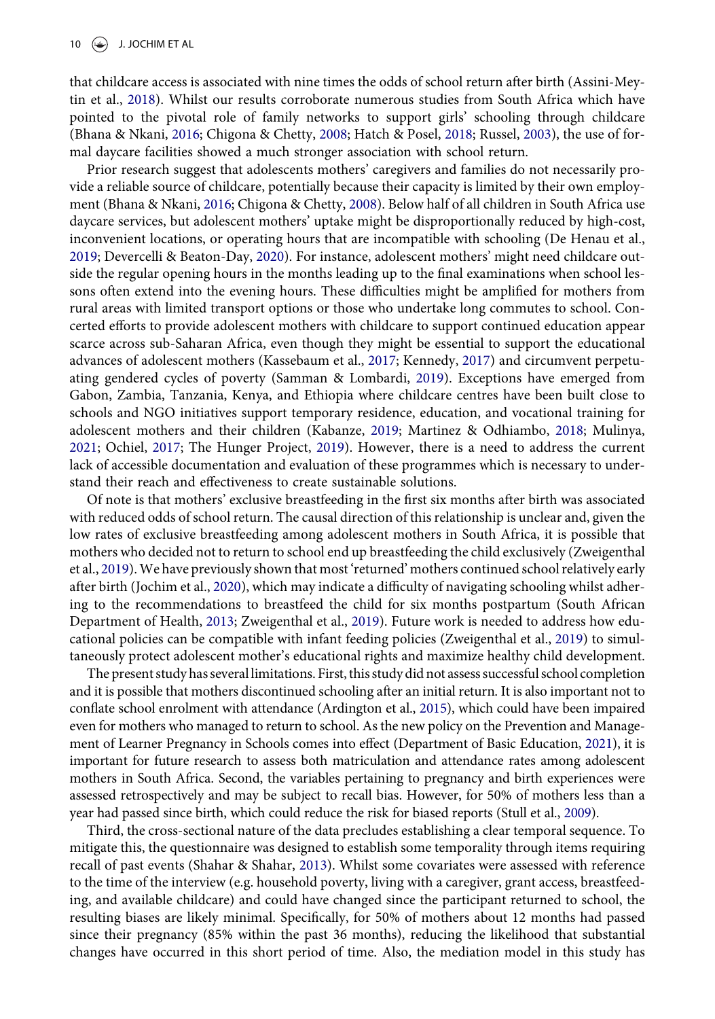<span id="page-9-4"></span><span id="page-9-0"></span>that childcare access is associated with nine times the odds of school return after birth (Assini-Meytin et al., [2018](#page-11-15)). Whilst our results corroborate numerous studies from South Africa which have pointed to the pivotal role of family networks to support girls' schooling through childcare (Bhana & Nkani, [2016;](#page-11-12) Chigona & Chetty, [2008;](#page-11-16) Hatch & Posel, [2018](#page-12-18); Russel, [2003](#page-13-21)), the use of formal daycare facilities showed a much stronger association with school return.

<span id="page-9-3"></span><span id="page-9-2"></span><span id="page-9-1"></span>Prior research suggest that adolescents mothers' caregivers and families do not necessarily provide a reliable source of childcare, potentially because their capacity is limited by their own employment (Bhana & Nkani, [2016;](#page-11-12) Chigona & Chetty, [2008](#page-11-16)). Below half of all children in South Africa use daycare services, but adolescent mothers' uptake might be disproportionally reduced by high-cost, inconvenient locations, or operating hours that are incompatible with schooling (De Henau et al., [2019](#page-11-17); Devercelli & Beaton-Day, [2020](#page-11-18)). For instance, adolescent mothers' might need childcare outside the regular opening hours in the months leading up to the final examinations when school lessons often extend into the evening hours. These difficulties might be amplified for mothers from rural areas with limited transport options or those who undertake long commutes to school. Concerted efforts to provide adolescent mothers with childcare to support continued education appear scarce across sub-Saharan Africa, even though they might be essential to support the educational advances of adolescent mothers (Kassebaum et al., [2017](#page-12-19); Kennedy, [2017](#page-12-20)) and circumvent perpetuating gendered cycles of poverty (Samman & Lombardi, [2019](#page-13-22)). Exceptions have emerged from Gabon, Zambia, Tanzania, Kenya, and Ethiopia where childcare centres have been built close to schools and NGO initiatives support temporary residence, education, and vocational training for adolescent mothers and their children (Kabanze, [2019](#page-12-21); Martinez & Odhiambo, [2018;](#page-13-11) Mulinya, [2021](#page-13-23); Ochiel, [2017](#page-13-24); The Hunger Project, [2019\)](#page-14-15). However, there is a need to address the current lack of accessible documentation and evaluation of these programmes which is necessary to understand their reach and effectiveness to create sustainable solutions.

<span id="page-9-9"></span><span id="page-9-8"></span><span id="page-9-7"></span><span id="page-9-6"></span><span id="page-9-5"></span>Of note is that mothers' exclusive breastfeeding in the first six months after birth was associated with reduced odds of school return. The causal direction of this relationship is unclear and, given the low rates of exclusive breastfeeding among adolescent mothers in South Africa, it is possible that mothers who decided not to return to school end up breastfeeding the child exclusively (Zweigenthal et al., [2019\)](#page-14-16).We have previously shown that most 'returned' mothers continued school relatively early after birth (Jochim et al., [2020](#page-12-22)), which may indicate a difficulty of navigating schooling whilst adhering to the recommendations to breastfeed the child for six months postpartum (South African Department of Health, [2013;](#page-14-17) Zweigenthal et al., [2019\)](#page-14-16). Future work is needed to address how educational policies can be compatible with infant feeding policies (Zweigenthal et al., [2019](#page-14-16)) to simultaneously protect adolescent mother's educational rights and maximize healthy child development.

<span id="page-9-14"></span><span id="page-9-12"></span><span id="page-9-11"></span>The present study has several limitations. First, this study did not assess successful school completion and it is possible that mothers discontinued schooling after an initial return. It is also important not to conflate school enrolment with attendance (Ardington et al., [2015](#page-11-5)), which could have been impaired even for mothers who managed to return to school. As the new policy on the Prevention and Management of Learner Pregnancy in Schools comes into effect (Department of Basic Education, [2021\)](#page-14-18), it is important for future research to assess both matriculation and attendance rates among adolescent mothers in South Africa. Second, the variables pertaining to pregnancy and birth experiences were assessed retrospectively and may be subject to recall bias. However, for 50% of mothers less than a year had passed since birth, which could reduce the risk for biased reports (Stull et al., [2009](#page-14-19)).

<span id="page-9-13"></span><span id="page-9-10"></span>Third, the cross-sectional nature of the data precludes establishing a clear temporal sequence. To mitigate this, the questionnaire was designed to establish some temporality through items requiring recall of past events (Shahar & Shahar, [2013\)](#page-13-25). Whilst some covariates were assessed with reference to the time of the interview (e.g. household poverty, living with a caregiver, grant access, breastfeeding, and available childcare) and could have changed since the participant returned to school, the resulting biases are likely minimal. Specifically, for 50% of mothers about 12 months had passed since their pregnancy (85% within the past 36 months), reducing the likelihood that substantial changes have occurred in this short period of time. Also, the mediation model in this study has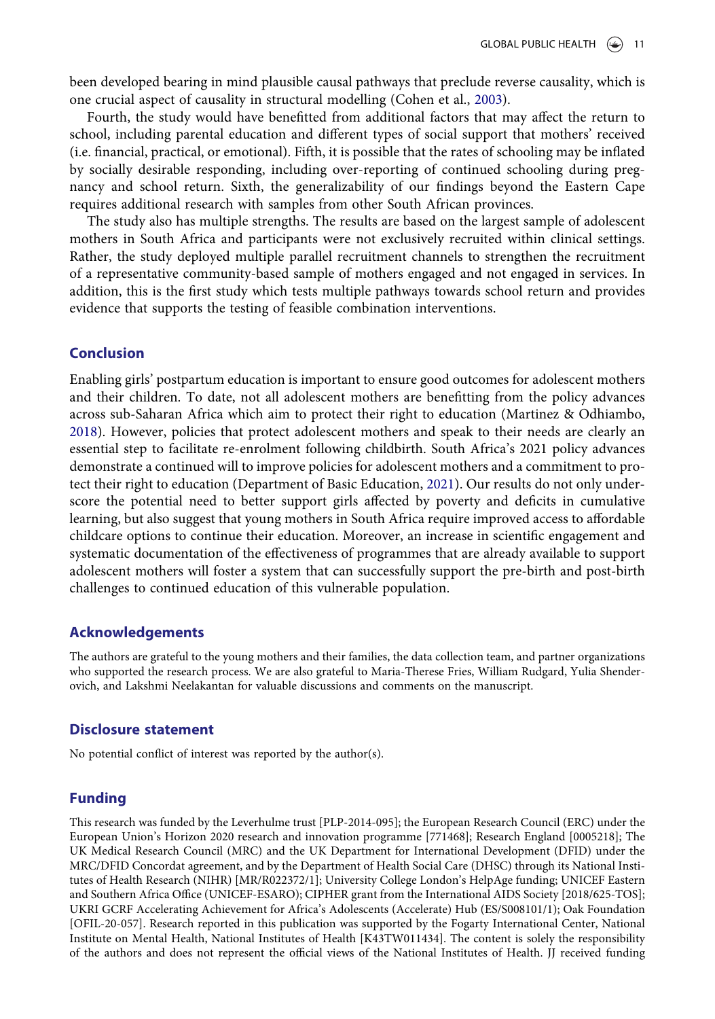been developed bearing in mind plausible causal pathways that preclude reverse causality, which is one crucial aspect of causality in structural modelling (Cohen et al., [2003\)](#page-11-8).

Fourth, the study would have benefitted from additional factors that may affect the return to school, including parental education and different types of social support that mothers' received (i.e. financial, practical, or emotional). Fifth, it is possible that the rates of schooling may be inflated by socially desirable responding, including over-reporting of continued schooling during pregnancy and school return. Sixth, the generalizability of our findings beyond the Eastern Cape requires additional research with samples from other South African provinces.

The study also has multiple strengths. The results are based on the largest sample of adolescent mothers in South Africa and participants were not exclusively recruited within clinical settings. Rather, the study deployed multiple parallel recruitment channels to strengthen the recruitment of a representative community-based sample of mothers engaged and not engaged in services. In addition, this is the first study which tests multiple pathways towards school return and provides evidence that supports the testing of feasible combination interventions.

### Conclusion

Enabling girls' postpartum education is important to ensure good outcomes for adolescent mothers and their children. To date, not all adolescent mothers are benefitting from the policy advances across sub-Saharan Africa which aim to protect their right to education (Martinez & Odhiambo, [2018](#page-13-11)). However, policies that protect adolescent mothers and speak to their needs are clearly an essential step to facilitate re-enrolment following childbirth. South Africa's 2021 policy advances demonstrate a continued will to improve policies for adolescent mothers and a commitment to protect their right to education (Department of Basic Education, [2021\)](#page-14-18). Our results do not only underscore the potential need to better support girls affected by poverty and deficits in cumulative learning, but also suggest that young mothers in South Africa require improved access to affordable childcare options to continue their education. Moreover, an increase in scientific engagement and systematic documentation of the effectiveness of programmes that are already available to support adolescent mothers will foster a system that can successfully support the pre-birth and post-birth challenges to continued education of this vulnerable population.

# Acknowledgements

The authors are grateful to the young mothers and their families, the data collection team, and partner organizations who supported the research process. We are also grateful to Maria-Therese Fries, William Rudgard, Yulia Shenderovich, and Lakshmi Neelakantan for valuable discussions and comments on the manuscript.

### Disclosure statement

No potential conflict of interest was reported by the author(s).

### Funding

This research was funded by the Leverhulme trust [PLP-2014-095]; the European Research Council (ERC) under the European Union's Horizon 2020 research and innovation programme [771468]; Research England [0005218]; The UK Medical Research Council (MRC) and the UK Department for International Development (DFID) under the MRC/DFID Concordat agreement, and by the Department of Health Social Care (DHSC) through its National Institutes of Health Research (NIHR) [MR/R022372/1]; University College London's HelpAge funding; UNICEF Eastern and Southern Africa Office (UNICEF-ESARO); CIPHER grant from the International AIDS Society [2018/625-TOS]; UKRI GCRF Accelerating Achievement for Africa's Adolescents (Accelerate) Hub (ES/S008101/1); Oak Foundation [OFIL-20-057]. Research reported in this publication was supported by the Fogarty International Center, National Institute on Mental Health, National Institutes of Health [K43TW011434]. The content is solely the responsibility of the authors and does not represent the official views of the National Institutes of Health. JJ received funding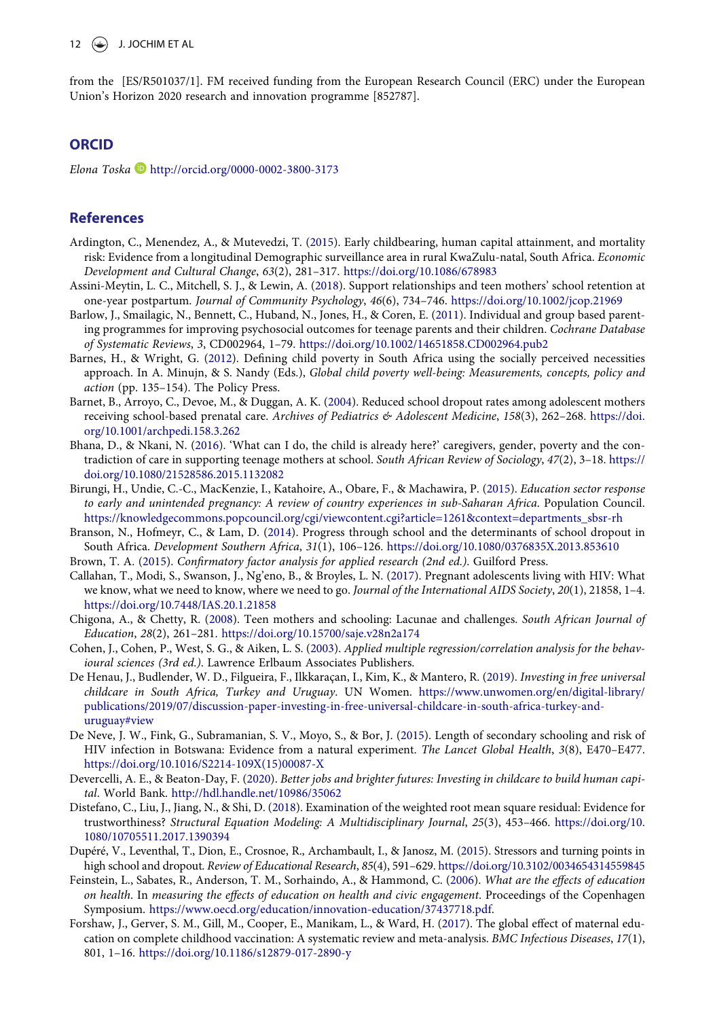from the [ES/R501037/1]. FM received funding from the European Research Council (ERC) under the European Union's Horizon 2020 research and innovation programme [852787].

### **ORCID**

Elona Toska D <http://orcid.org/0000-0002-3800-3173>

### References

- <span id="page-11-5"></span>Ardington, C., Menendez, A., & Mutevedzi, T. ([2015](#page-1-0)). Early childbearing, human capital attainment, and mortality risk: Evidence from a longitudinal Demographic surveillance area in rural KwaZulu-natal, South Africa. Economic Development and Cultural Change, 63(2), 281–317. <https://doi.org/10.1086/678983>
- <span id="page-11-15"></span>Assini-Meytin, L. C., Mitchell, S. J., & Lewin, A. [\(2018\)](#page-9-0). Support relationships and teen mothers' school retention at one-year postpartum. Journal of Community Psychology, 46(6), 734–746. <https://doi.org/10.1002/jcop.21969>
- <span id="page-11-3"></span>Barlow, J., Smailagic, N., Bennett, C., Huband, N., Jones, H., & Coren, E. ([2011\)](#page-1-1). Individual and group based parenting programmes for improving psychosocial outcomes for teenage parents and their children. Cochrane Database of Systematic Reviews, 3, CD002964, 1–79. <https://doi.org/10.1002/14651858.CD002964.pub2>
- <span id="page-11-7"></span>Barnes, H., & Wright, G. ([2012](#page-4-0)). Defining child poverty in South Africa using the socially perceived necessities approach. In A. Minujn, & S. Nandy (Eds.), Global child poverty well-being: Measurements, concepts, policy and action (pp. 135–154). The Policy Press.
- <span id="page-11-14"></span>Barnet, B., Arroyo, C., Devoe, M., & Duggan, A. K. [\(2004\)](#page-8-0). Reduced school dropout rates among adolescent mothers receiving school-based prenatal care. Archives of Pediatrics & Adolescent Medicine, 158(3), 262-268. [https://doi.](https://doi.org/10.1001/archpedi.158.3.262) [org/10.1001/archpedi.158.3.262](https://doi.org/10.1001/archpedi.158.3.262)
- <span id="page-11-12"></span>Bhana, D., & Nkani, N. ([2016](#page-8-1)). 'What can I do, the child is already here?' caregivers, gender, poverty and the contradiction of care in supporting teenage mothers at school. South African Review of Sociology, 47(2), 3–18. [https://](https://doi.org/10.1080/21528586.2015.1132082) [doi.org/10.1080/21528586.2015.1132082](https://doi.org/10.1080/21528586.2015.1132082)
- <span id="page-11-6"></span>Birungi, H., Undie, C.-C., MacKenzie, I., Katahoire, A., Obare, F., & Machawira, P. ([2015](#page-2-1)). Education sector response to early and unintended pregnancy: A review of country experiences in sub-Saharan Africa. Population Council. [https://knowledgecommons.popcouncil.org/cgi/viewcontent.cgi?article=1261&context=departments\\_sbsr-rh](https://knowledgecommons.popcouncil.org/cgi/viewcontent.cgi?article=1261%26context=departments_sbsr-rh)
- <span id="page-11-11"></span>Branson, N., Hofmeyr, C., & Lam, D. ([2014](#page-8-2)). Progress through school and the determinants of school dropout in South Africa. Development Southern Africa, 31(1), 106–126. <https://doi.org/10.1080/0376835X.2013.853610>
- <span id="page-11-9"></span><span id="page-11-4"></span>Brown, T. A. [\(2015\)](#page-5-1). Confirmatory factor analysis for applied research (2nd ed.). Guilford Press.
- Callahan, T., Modi, S., Swanson, J., Ng'eno, B., & Broyles, L. N. ([2017](#page-1-2)). Pregnant adolescents living with HIV: What we know, what we need to know, where we need to go. Journal of the International AIDS Society, 20(1), 21858, 1-[4.](https://doi.org/. https://doi.org/10.7448/IAS.20.1.21858) [https://doi.org/10.7448/IAS.20.1.21858](https://doi.org/. https://doi.org/10.7448/IAS.20.1.21858)
- <span id="page-11-16"></span>Chigona, A., & Chetty, R. [\(2008\)](#page-9-1). Teen mothers and schooling: Lacunae and challenges. South African Journal of Education, 28(2), 261–281. <https://doi.org/10.15700/saje.v28n2a174>
- <span id="page-11-8"></span>Cohen, J., Cohen, P., West, S. G., & Aiken, L. S. [\(2003\)](#page-5-2). Applied multiple regression/correlation analysis for the behavioural sciences (3rd ed.). Lawrence Erlbaum Associates Publishers.
- <span id="page-11-17"></span>De Henau, J., Budlender, W. D., Filgueira, F., Ilkkaraçan, I., Kim, K., & Mantero, R. ([2019](#page-9-2)). Investing in free universal childcare in South Africa, Turkey and Uruguay. UN Women. [https://www.unwomen.org/en/digital-library/](https://www.unwomen.org/en/digital-library/publications/2019/07/discussion-paper-investing-in-free-universal-childcare-in-south-africa-turkey-and-uruguay#view) [publications/2019/07/discussion-paper-investing-in-free-universal-childcare-in-south-africa-turkey-and](https://www.unwomen.org/en/digital-library/publications/2019/07/discussion-paper-investing-in-free-universal-childcare-in-south-africa-turkey-and-uruguay#view)[uruguay#view](https://www.unwomen.org/en/digital-library/publications/2019/07/discussion-paper-investing-in-free-universal-childcare-in-south-africa-turkey-and-uruguay#view)
- <span id="page-11-1"></span>De Neve, J. W., Fink, G., Subramanian, S. V., Moyo, S., & Bor, J. ([2015\)](#page-1-3). Length of secondary schooling and risk of HIV infection in Botswana: Evidence from a natural experiment. The Lancet Global Health, 3(8), E470–E477. [https://doi.org/10.1016/S2214-109X\(15\)00087-X](https://doi.org/10.1016/S2214-109X(15)00087-X)
- <span id="page-11-18"></span>Devercelli, A. E., & Beaton-Day, F. [\(2020\)](#page-9-3). Better jobs and brighter futures: Investing in childcare to build human capital. World Bank. <http://hdl.handle.net/10986/35062>
- <span id="page-11-10"></span>Distefano, C., Liu, J., Jiang, N., & Shi, D. ([2018](#page-5-1)). Examination of the weighted root mean square residual: Evidence for trustworthiness? Structural Equation Modeling: A Multidisciplinary Journal, 25(3), 453–466. [https://doi.org/10.](https://doi.org/10.1080/10705511.2017.1390394) [1080/10705511.2017.1390394](https://doi.org/10.1080/10705511.2017.1390394)
- <span id="page-11-13"></span>Dupéré, V., Leventhal, T., Dion, E., Crosnoe, R., Archambault, I., & Janosz, M. [\(2015](#page-8-3)). Stressors and turning points in high school and dropout. Review of Educational Research, 85(4), 591–629. <https://doi.org/10.3102/0034654314559845>
- <span id="page-11-0"></span>Feinstein, L., Sabates, R., Anderson, T. M., Sorhaindo, A., & Hammond, C. ([2006](#page-1-4)). What are the effects of education on health. In measuring the effects of education on health and civic engagement. Proceedings of the Copenhagen Symposium. <https://www.oecd.org/education/innovation-education/37437718.pdf>.
- <span id="page-11-2"></span>Forshaw, J., Gerver, S. M., Gill, M., Cooper, E., Manikam, L., & Ward, H. [\(2017](#page-1-5)). The global effect of maternal education on complete childhood vaccination: A systematic review and meta-analysis. BMC Infectious Diseases, 17(1), 801, 1–1[6. https://doi.org/10.1186/s12879-017-2890-y](https://doi.org/. https://doi.org/10.1186/s12879-017-2890-y)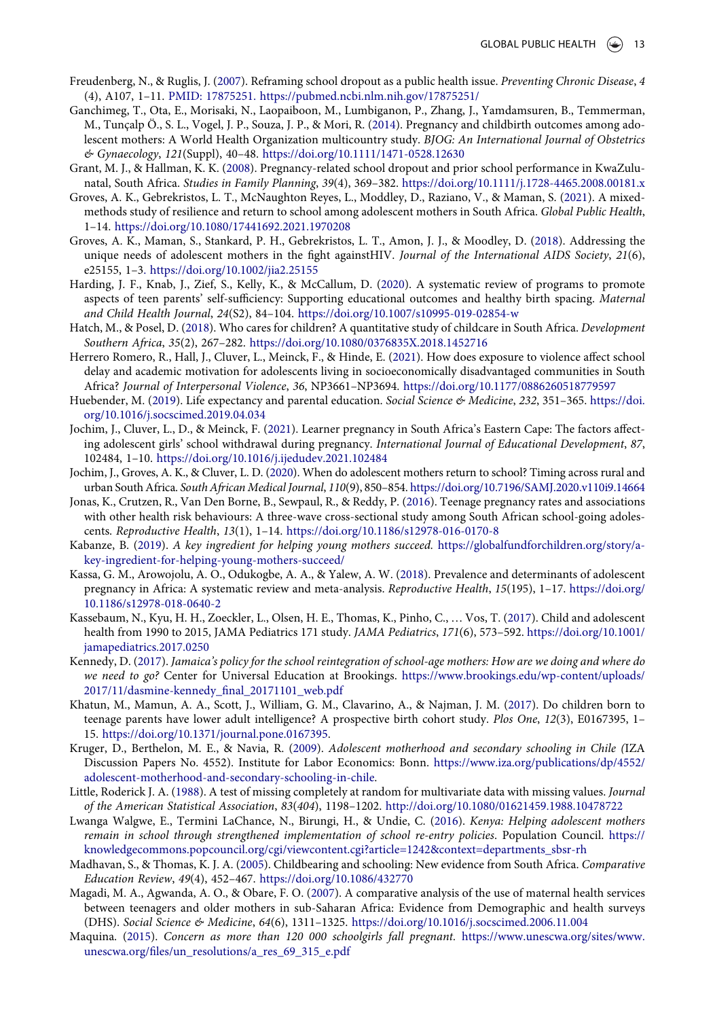- <span id="page-12-3"></span>Freudenberg, N., & Ruglis, J. [\(2007](#page-1-6)). Reframing school dropout as a public health issue. Preventing Chronic Disease, 4 (4), A107, 1–11. [PMID: 17875251. https://pubmed.ncbi.nlm.nih.gov/17875251/](https://doi.org/PMID: 17875251. https://pubmed.ncbi.nlm.nih.gov/17875251/)
- <span id="page-12-1"></span>Ganchimeg, T., Ota, E., Morisaki, N., Laopaiboon, M., Lumbiganon, P., Zhang, J., Yamdamsuren, B., Temmerman, M., Tunçalp Ö., S. L., Vogel, J. P., Souza, J. P., & Mori, R. ([2014](#page-1-7)). Pregnancy and childbirth outcomes among adolescent mothers: A World Health Organization multicountry study. BJOG: An International Journal of Obstetrics & Gynaecology, 121(Suppl), 40–48. <https://doi.org/10.1111/1471-0528.12630>
- <span id="page-12-10"></span>Grant, M. J., & Hallman, K. K. [\(2008\)](#page-1-8). Pregnancy-related school dropout and prior school performance in KwaZulunatal, South Africa. Studies in Family Planning, 39(4), 369–382. <https://doi.org/10.1111/j.1728-4465.2008.00181.x>
- <span id="page-12-11"></span>Groves, A. K., Gebrekristos, L. T., McNaughton Reyes, L., Moddley, D., Raziano, V., & Maman, S. [\(2021\)](#page-1-9). A mixedmethods study of resilience and return to school among adolescent mothers in South Africa. Global Public Health, 1–14. <https://doi.org/10.1080/17441692.2021.1970208>
- <span id="page-12-7"></span>Groves, A. K., Maman, S., Stankard, P. H., Gebrekristos, L. T., Amon, J. J., & Moodley, D. [\(2018](#page-1-2)). Addressing the unique needs of adolescent mothers in the fight againstHIV. Journal of the International AIDS Society, 21(6), e25155, 1–[3. https://doi.org/10.1002/jia2.25155](https://doi.org/. https://doi.org/10.1002/jia2.25155)
- <span id="page-12-6"></span>Harding, J. F., Knab, J., Zief, S., Kelly, K., & McCallum, D. ([2020](#page-1-10)). A systematic review of programs to promote aspects of teen parents' self-sufficiency: Supporting educational outcomes and healthy birth spacing. Maternal and Child Health Journal, 24(S2), 84–104. <https://doi.org/10.1007/s10995-019-02854-w>
- <span id="page-12-18"></span>Hatch, M., & Posel, D. [\(2018](#page-9-4)). Who cares for children? A quantitative study of childcare in South Africa. Development Southern Africa, 35(2), 267–282. <https://doi.org/10.1080/0376835X.2018.1452716>
- <span id="page-12-15"></span>Herrero Romero, R., Hall, J., Cluver, L., Meinck, F., & Hinde, E. [\(2021](#page-4-1)). How does exposure to violence affect school delay and academic motivation for adolescents living in socioeconomically disadvantaged communities in South Africa? Journal of Interpersonal Violence, 36, NP3661–NP3694. <https://doi.org/10.1177/0886260518779597>
- <span id="page-12-4"></span>Huebender, M. [\(2019](#page-1-5)). Life expectancy and parental education. Social Science & Medicine, 232, 351-365. [https://doi.](https://doi.org/10.1016/j.socscimed.2019.04.034) [org/10.1016/j.socscimed.2019.04.034](https://doi.org/10.1016/j.socscimed.2019.04.034)
- <span id="page-12-22"></span>Jochim, J., Cluver, L., D., & Meinck, F. ([2021](#page-9-5)). Learner pregnancy in South Africa's Eastern Cape: The factors affecting adolescent girls' school withdrawal during pregnancy. International Journal of Educational Development, 87, 102484, 1–10. <https://doi.org/10.1016/j.ijedudev.2021.102484>
- <span id="page-12-17"></span>Jochim, J., Groves, A. K., & Cluver, L. D. [\(2020](#page-8-4)). When do adolescent mothers return to school? Timing across rural and urban South Africa. South African Medical Journal, 110(9), 850–854. <https://doi.org/10.7196/SAMJ.2020.v110i9.14664>
- <span id="page-12-8"></span>Jonas, K., Crutzen, R., Van Den Borne, B., Sewpaul, R., & Reddy, P. ([2016\)](#page-1-11). Teenage pregnancy rates and associations with other health risk behaviours: A three-wave cross-sectional study among South African school-going adolescents. Reproductive Health, 13(1), 1–14. <https://doi.org/10.1186/s12978-016-0170-8>
- <span id="page-12-21"></span>Kabanze, B. [\(2019](#page-9-6)). A key ingredient for helping young mothers succeed. [https://globalfundforchildren.org/story/a](https://globalfundforchildren.org/story/a-key-ingredient-for-helping-young-mothers-succeed/)[key-ingredient-for-helping-young-mothers-succeed/](https://globalfundforchildren.org/story/a-key-ingredient-for-helping-young-mothers-succeed/)
- <span id="page-12-0"></span>Kassa, G. M., Arowojolu, A. O., Odukogbe, A. A., & Yalew, A. W. [\(2018\)](#page-0-0). Prevalence and determinants of adolescent pregnancy in Africa: A systematic review and meta-analysis. Reproductive Health, 15(195), 1–17. [https://doi.org/](https://doi.org/10.1186/s12978-018-0640-2) [10.1186/s12978-018-0640-2](https://doi.org/10.1186/s12978-018-0640-2)
- <span id="page-12-19"></span>Kassebaum, N., Kyu, H. H., Zoeckler, L., Olsen, H. E., Thomas, K., Pinho, C., … Vos, T. [\(2017\)](#page-9-7). Child and adolescent health from 1990 to 2015, JAMA Pediatrics 171 study. JAMA Pediatrics, 171(6), 573–592. [https://doi.org/10.1001/](https://doi.org/10.1001/jamapediatrics.2017.0250) [jamapediatrics.2017.0250](https://doi.org/10.1001/jamapediatrics.2017.0250)
- <span id="page-12-20"></span>Kennedy, D. [\(2017](#page-9-7)). Jamaica's policy for the school reintegration of school-age mothers: How are we doing and where do we need to go? Center for Universal Education at Brookings. [https://www.brookings.edu/wp-content/uploads/](https://www.brookings.edu/wp-content/uploads/2017/11/dasmine-kennedy_final_20171101_web.pdf) [2017/11/dasmine-kennedy\\_](https://www.brookings.edu/wp-content/uploads/2017/11/dasmine-kennedy_final_20171101_web.pdf)final\_20171101\_web.pdf
- <span id="page-12-5"></span>Khatun, M., Mamun, A. A., Scott, J., William, G. M., Clavarino, A., & Najman, J. M. ([2017\)](#page-1-1). Do children born to teenage parents have lower adult intelligence? A prospective birth cohort study. Plos One, 12(3), E0167395, 1– 15. <https://doi.org/10.1371/journal.pone.0167395>.
- <span id="page-12-12"></span>Kruger, D., Berthelon, M. E., & Navia, R. [\(2009\)](#page-1-0). Adolescent motherhood and secondary schooling in Chile (IZA Discussion Papers No. 4552). Institute for Labor Economics: Bonn. [https://www.iza.org/publications/dp/4552/](https://www.iza.org/publications/dp/4552/adolescent-motherhood-and-secondary-schooling-in-chile) [adolescent-motherhood-and-secondary-schooling-in-chile](https://www.iza.org/publications/dp/4552/adolescent-motherhood-and-secondary-schooling-in-chile).
- <span id="page-12-16"></span>Little, Roderick J. A. [\(1988\)](#page-4-2). A test of missing completely at random for multivariate data with missing values. Journal of the American Statistical Association, 83(404), 1198–1202. <http://doi.org/10.1080/01621459.1988.10478722>
- <span id="page-12-14"></span>Lwanga Walgwe, E., Termini LaChance, N., Birungi, H., & Undie, C. ([2016](#page-2-1)). Kenya: Helping adolescent mothers remain in school through strengthened implementation of school re-entry policies. Population Council. [https://](https://knowledgecommons.popcouncil.org/cgi/viewcontent.cgi?article=1242&context=departments_sbsr-rh) [knowledgecommons.popcouncil.org/cgi/viewcontent.cgi?article=1242&context=departments\\_sbsr-rh](https://knowledgecommons.popcouncil.org/cgi/viewcontent.cgi?article=1242&context=departments_sbsr-rh)
- <span id="page-12-13"></span>Madhavan, S., & Thomas, K. J. A. ([2005](#page-1-12)). Childbearing and schooling: New evidence from South Africa. Comparative Education Review, 49(4), 452–467. <https://doi.org/10.1086/432770>
- <span id="page-12-2"></span>Magadi, M. A., Agwanda, A. O., & Obare, F. O. ([2007\)](#page-1-13). A comparative analysis of the use of maternal health services between teenagers and older mothers in sub-Saharan Africa: Evidence from Demographic and health surveys (DHS). Social Science & Medicine, 64(6), 1311–1325. <https://doi.org/10.1016/j.socscimed.2006.11.004>
- <span id="page-12-9"></span>Maquina. ([2015](#page-1-14)). Concern as more than 120 000 schoolgirls fall pregnant. [https://www.unescwa.org/sites/www.](https://www.unescwa.org/sites/www.unescwa.org/files/un_resolutions/a_res_69_315_e.pdf) unescwa.org/fi[les/un\\_resolutions/a\\_res\\_69\\_315\\_e.pdf](https://www.unescwa.org/sites/www.unescwa.org/files/un_resolutions/a_res_69_315_e.pdf)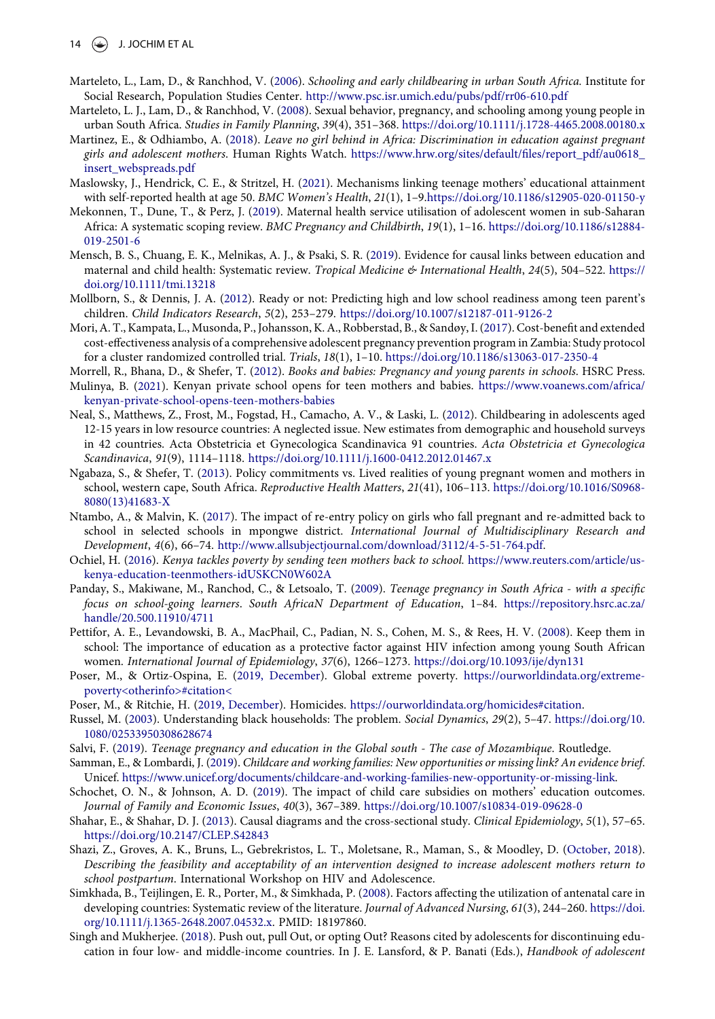- <span id="page-13-12"></span>Marteleto, L., Lam, D., & Ranchhod, V. [\(2006\)](#page-1-9). Schooling and early childbearing in urban South Africa. Institute for Social Research, Population Studies Center. <http://www.psc.isr.umich.edu/pubs/pdf/rr06-610.pdf>
- <span id="page-13-13"></span>Marteleto, L. J., Lam, D., & Ranchhod, V. ([2008](#page-1-12)). Sexual behavior, pregnancy, and schooling among young people in urban South Africa. Studies in Family Planning, 39(4), 351–368. <https://doi.org/10.1111/j.1728-4465.2008.00180.x>
- <span id="page-13-11"></span>Martinez, E., & Odhiambo, A. ([2018\)](#page-1-15). Leave no girl behind in Africa: Discrimination in education against pregnant girls and adolescent mothers. Human Rights Watch. [https://www.hrw.org/sites/default/](https://www.hrw.org/sites/default/files/report_pdf/au0618_insert_webspreads.pdf)files/report\_pdf/au0618\_ [insert\\_webspreads.pdf](https://www.hrw.org/sites/default/files/report_pdf/au0618_insert_webspreads.pdf)
- <span id="page-13-5"></span>Maslowsky, J., Hendrick, C. E., & Stritzel, H. ([2021\)](#page-1-16). Mechanisms linking teenage mothers' educational attainment with self-reported health at age 50. BMC Women's Health, 21(1), 1–9.<https://doi.org/10.1186/s12905-020-01150-y>
- <span id="page-13-4"></span>Mekonnen, T., Dune, T., & Perz, J. [\(2019\)](#page-1-13). Maternal health service utilisation of adolescent women in sub-Saharan Africa: A systematic scoping review. BMC Pregnancy and Childbirth, 19(1), 1–16. [https://doi.org/10.1186/s12884-](https://doi.org/ https://doi.org/10.1186/s12884-019-2501-6) [019-2501-6](https://doi.org/ https://doi.org/10.1186/s12884-019-2501-6)
- <span id="page-13-8"></span>Mensch, B. S., Chuang, E. K., Melnikas, A. J., & Psaki, S. R. ([2019\)](#page-1-17). Evidence for causal links between education and maternal and child health: Systematic review. Tropical Medicine & International Health, 24(5), 504-522. [https://](https://doi.org/10.1111/tmi.13218) [doi.org/10.1111/tmi.13218](https://doi.org/10.1111/tmi.13218)
- <span id="page-13-9"></span>Mollborn, S., & Dennis, J. A. ([2012](#page-1-1)). Ready or not: Predicting high and low school readiness among teen parent's children. Child Indicators Research, 5(2), 253–279. <https://doi.org/10.1007/s12187-011-9126-2>
- <span id="page-13-0"></span>Mori, A. T., Kampata, L., Musonda, P., Johansson, K. A., Robberstad, B., & Sandøy, I. [\(2017](#page-0-0)). Cost-benefit and extended cost-effectiveness analysis of a comprehensive adolescent pregnancy prevention program in Zambia: Study protocol for a cluster randomized controlled trial. Trials, 18(1), 1–10. [https://doi.org/10.1186/s13063-017-2350-4](https://doi.org/�https://doi.org/10.1186/s13063-017-2350-4)
- <span id="page-13-23"></span><span id="page-13-18"></span>Morrell, R., Bhana, D., & Shefer, T. [\(2012\)](#page-8-1). Books and babies: Pregnancy and young parents in schools. HSRC Press.
- Mulinya, B. [\(2021](#page-9-6)). Kenyan private school opens for teen mothers and babies. [https://www.voanews.com/africa/](https://www.voanews.com/africa/kenyan-private-school-opens-teen-mothers-babies) [kenyan-private-school-opens-teen-mothers-babies](https://www.voanews.com/africa/kenyan-private-school-opens-teen-mothers-babies)
- <span id="page-13-1"></span>Neal, S., Matthews, Z., Frost, M., Fogstad, H., Camacho, A. V., & Laski, L. [\(2012\)](#page-1-18). Childbearing in adolescents aged 12-15 years in low resource countries: A neglected issue. New estimates from demographic and household surveys in 42 countries. Acta Obstetricia et Gynecologica Scandinavica 91 countries. Acta Obstetricia et Gynecologica Scandinavica, 91(9), 1114–1118. <https://doi.org/10.1111/j.1600-0412.2012.01467.x>
- <span id="page-13-14"></span>Ngabaza, S., & Shefer, T. [\(2013](#page-2-1)). Policy commitments vs. Lived realities of young pregnant women and mothers in school, western cape, South Africa. Reproductive Health Matters, 21(41), 106–113. [https://doi.org/10.1016/S0968-](https://doi.org/10.1016/S0968-8080(13)41683-X) [8080\(13\)41683-X](https://doi.org/10.1016/S0968-8080(13)41683-X)
- <span id="page-13-15"></span>Ntambo, A., & Malvin, K. ([2017](#page-2-2)). The impact of re-entry policy on girls who fall pregnant and re-admitted back to school in selected schools in mpongwe district. International Journal of Multidisciplinary Research and Development, 4(6), 66–74. [http://www.allsubjectjournal.com/download/3112/4-5-51-764.pdf.](http://www.allsubjectjournal.com/download/3112/4-5-51-764.pdf)
- <span id="page-13-24"></span>Ochiel, H. [\(2016\)](#page-9-8). Kenya tackles poverty by sending teen mothers back to school. [https://www.reuters.com/article/us](https://www.reuters.com/article/us-kenya-education-teenmothers-idUSKCN0W602A)[kenya-education-teenmothers-idUSKCN0W602A](https://www.reuters.com/article/us-kenya-education-teenmothers-idUSKCN0W602A)
- <span id="page-13-10"></span>Panday, S., Makiwane, M., Ranchod, C., & Letsoalo, T. [\(2009](#page-1-19)). Teenage pregnancy in South Africa - with a specific focus on school-going learners. South AfricaN Department of Education, 1–84. [https://repository.hsrc.ac.za/](https://repository.hsrc.ac.za/handle/20.500.11910/4711) [handle/20.500.11910/4711](https://repository.hsrc.ac.za/handle/20.500.11910/4711)
- <span id="page-13-6"></span>Pettifor, A. E., Levandowski, B. A., MacPhail, C., Padian, N. S., Cohen, M. S., & Rees, H. V. [\(2008](#page-1-3)). Keep them in school: The importance of education as a protective factor against HIV infection among young South African women. International Journal of Epidemiology, 37(6), 1266–1273. <https://doi.org/10.1093/ije/dyn131>
- <span id="page-13-3"></span>Poser, M., & Ortiz-Ospina, E. ([2019, December](#page-1-20)). Global extreme poverty. [https://ourworldindata.org/extreme](https://ourworldindata.org/extreme-poverty%3Cotherinfo%3E#citation%3C)[poverty<otherinfo>#citation<](https://ourworldindata.org/extreme-poverty%3Cotherinfo%3E#citation%3C)
- <span id="page-13-21"></span><span id="page-13-2"></span>Poser, M., & Ritchie, H. ([2019, December\)](#page-1-20). Homicides. [https://ourworldindata.org/homicides#citation.](https://ourworldindata.org/homicides#citation)
- Russel, M. [\(2003](#page-9-4)). Understanding black households: The problem. Social Dynamics, 29(2), 5–47. [https://doi.org/10.](https://doi.org/10.1080/02533950308628674) [1080/02533950308628674](https://doi.org/10.1080/02533950308628674)
- <span id="page-13-22"></span><span id="page-13-16"></span>Salvi, F. ([2019\)](#page-2-2). Teenage pregnancy and education in the Global south - The case of Mozambique. Routledge.
- Samman, E., & Lombardi, J. [\(2019](#page-9-9)). Childcare and working families: New opportunities or missing link? An evidence brief. Unicef. <https://www.unicef.org/documents/childcare-and-working-families-new-opportunity-or-missing-link>.
- <span id="page-13-19"></span>Schochet, O. N., & Johnson, A. D. ([2019\)](#page-8-5). The impact of child care subsidies on mothers' education outcomes. Journal of Family and Economic Issues, 40(3), 367–389. <https://doi.org/10.1007/s10834-019-09628-0>
- <span id="page-13-25"></span>Shahar, E., & Shahar, D. J. [\(2013\)](#page-9-10). Causal diagrams and the cross-sectional study. Clinical Epidemiology, 5(1), 57–65. <https://doi.org/10.2147/CLEP.S42843>
- <span id="page-13-20"></span>Shazi, Z., Groves, A. K., Bruns, L., Gebrekristos, L. T., Moletsane, R., Maman, S., & Moodley, D. [\(October, 2018](#page-8-6)). Describing the feasibility and acceptability of an intervention designed to increase adolescent mothers return to school postpartum. International Workshop on HIV and Adolescence.
- <span id="page-13-7"></span>Simkhada, B., Teijlingen, E. R., Porter, M., & Simkhada, P. [\(2008\)](#page-1-5). Factors affecting the utilization of antenatal care in developing countries: Systematic review of the literature. Journal of Advanced Nursing, 61(3), 244-260. [https://doi.](https://doi.org/10.1111/j.1365-2648.2007.04532.x) [org/10.1111/j.1365-2648.2007.04532.x.](https://doi.org/10.1111/j.1365-2648.2007.04532.x) PMID: 18197860.
- <span id="page-13-17"></span>Singh and Mukherjee. ([2018](#page-2-3)). Push out, pull Out, or opting Out? Reasons cited by adolescents for discontinuing education in four low- and middle-income countries. In J. E. Lansford, & P. Banati (Eds.), Handbook of adolescent